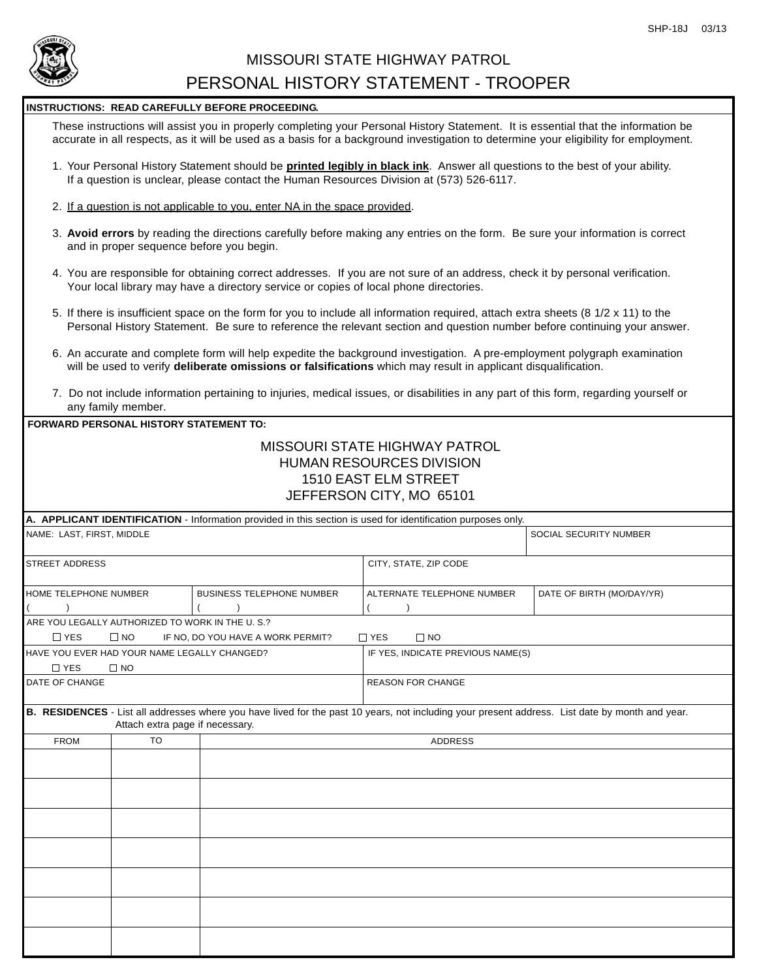

## MISSOURI STATE HIGHWAY PATROL PERSONAL HISTORY STATEMENT - TROOPER

### **INSTRUCTIONS: READ CAREFULLY BEFORE PROCEEDING.**

These instructions will assist you in properly completing your Personal History Statement. It is essential that the information be accurate in all respects, as it will be used as a basis for a background investigation to determine your eligibility for employment.

- 1. Your Personal History Statement should be **printed legibly in black ink**. Answer all questions to the best of your ability. If a question is unclear, please contact the Human Resources Division at (573) 526-6117.
- 2. If a question is not applicable to you, enter NA in the space provided.
- 3. **Avoid errors** by reading the directions carefully before making any entries on the form. Be sure your information is correct and in proper sequence before you begin.
- 4. You are responsible for obtaining correct addresses. If you are not sure of an address, check it by personal verification. Your local library may have a directory service or copies of local phone directories.
- 5. If there is insufficient space on the form for you to include all information required, attach extra sheets (8 1/2 x 11) to the Personal History Statement. Be sure to reference the relevant section and question number before continuing your answer.
- 6. An accurate and complete form will help expedite the background investigation. A pre-employment polygraph examination will be used to verify **deliberate omissions or falsifications** which may result in applicant disqualification.
- 7. Do not include information pertaining to injuries, medical issues, or disabilities in any part of this form, regarding yourself or any family member.

### **FORWARD PERSONAL HISTORY STATEMENT TO:** MISSOURI STATE HIGHWAY PATROL HUMAN RESOURCES DIVISION 1510 EAST ELM STREET

# JEFFERSON CITY, MO 65101

|                                                  |                                 | A. APPLICANT IDENTIFICATION - Information provided in this section is used for identification purposes only. |                                                                                                                                                 |                           |
|--------------------------------------------------|---------------------------------|--------------------------------------------------------------------------------------------------------------|-------------------------------------------------------------------------------------------------------------------------------------------------|---------------------------|
| NAME: LAST, FIRST, MIDDLE                        |                                 |                                                                                                              |                                                                                                                                                 | SOCIAL SECURITY NUMBER    |
| <b>STREET ADDRESS</b>                            |                                 |                                                                                                              | CITY, STATE, ZIP CODE                                                                                                                           |                           |
| HOME TELEPHONE NUMBER                            |                                 | <b>BUSINESS TELEPHONE NUMBER</b>                                                                             | ALTERNATE TELEPHONE NUMBER                                                                                                                      | DATE OF BIRTH (MO/DAY/YR) |
|                                                  |                                 |                                                                                                              |                                                                                                                                                 |                           |
| ARE YOU LEGALLY AUTHORIZED TO WORK IN THE U. S.? |                                 |                                                                                                              |                                                                                                                                                 |                           |
| $\Box$ YES                                       | $\square$ NO                    | IF NO, DO YOU HAVE A WORK PERMIT?                                                                            | $\Box$ YES<br>$\Box$ NO                                                                                                                         |                           |
| HAVE YOU EVER HAD YOUR NAME LEGALLY CHANGED?     |                                 |                                                                                                              | IF YES, INDICATE PREVIOUS NAME(S)                                                                                                               |                           |
| $\Box$ YES                                       | $\Box$ NO                       |                                                                                                              |                                                                                                                                                 |                           |
| DATE OF CHANGE                                   |                                 |                                                                                                              | <b>REASON FOR CHANGE</b>                                                                                                                        |                           |
|                                                  | Attach extra page if necessary. |                                                                                                              | B. RESIDENCES - List all addresses where you have lived for the past 10 years, not including your present address. List date by month and year. |                           |
| <b>FROM</b>                                      | <b>TO</b>                       |                                                                                                              | <b>ADDRESS</b>                                                                                                                                  |                           |
|                                                  |                                 |                                                                                                              |                                                                                                                                                 |                           |
|                                                  |                                 |                                                                                                              |                                                                                                                                                 |                           |
|                                                  |                                 |                                                                                                              |                                                                                                                                                 |                           |
|                                                  |                                 |                                                                                                              |                                                                                                                                                 |                           |
|                                                  |                                 |                                                                                                              |                                                                                                                                                 |                           |
|                                                  |                                 |                                                                                                              |                                                                                                                                                 |                           |
|                                                  |                                 |                                                                                                              |                                                                                                                                                 |                           |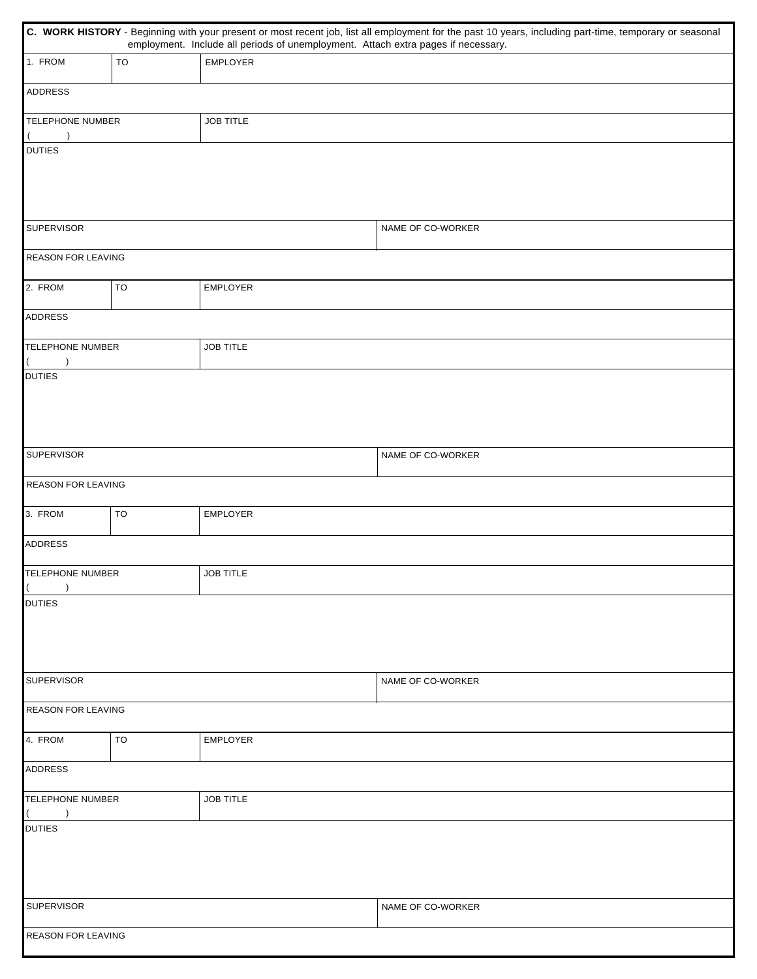|                                          | C. WORK HISTORY - Beginning with your present or most recent job, list all employment for the past 10 years, including part-time, temporary or seasonal<br>employment. Include all periods of unemployment. Attach extra pages if necessary. |                   |                   |  |  |  |  |  |
|------------------------------------------|----------------------------------------------------------------------------------------------------------------------------------------------------------------------------------------------------------------------------------------------|-------------------|-------------------|--|--|--|--|--|
| 1. FROM                                  | TO                                                                                                                                                                                                                                           | <b>EMPLOYER</b>   |                   |  |  |  |  |  |
| <b>ADDRESS</b>                           |                                                                                                                                                                                                                                              |                   |                   |  |  |  |  |  |
| <b>TELEPHONE NUMBER</b>                  |                                                                                                                                                                                                                                              | <b>JOB TITLE</b>  |                   |  |  |  |  |  |
| <b>DUTIES</b>                            |                                                                                                                                                                                                                                              |                   |                   |  |  |  |  |  |
| <b>SUPERVISOR</b>                        |                                                                                                                                                                                                                                              |                   | NAME OF CO-WORKER |  |  |  |  |  |
| REASON FOR LEAVING                       |                                                                                                                                                                                                                                              |                   |                   |  |  |  |  |  |
| 2. FROM                                  | TO                                                                                                                                                                                                                                           | EMPLOYER          |                   |  |  |  |  |  |
| <b>ADDRESS</b>                           |                                                                                                                                                                                                                                              |                   |                   |  |  |  |  |  |
| <b>TELEPHONE NUMBER</b>                  |                                                                                                                                                                                                                                              | <b>JOB TITLE</b>  |                   |  |  |  |  |  |
| $\lambda$<br><b>DUTIES</b>               |                                                                                                                                                                                                                                              |                   |                   |  |  |  |  |  |
| <b>SUPERVISOR</b>                        |                                                                                                                                                                                                                                              | NAME OF CO-WORKER |                   |  |  |  |  |  |
| REASON FOR LEAVING                       |                                                                                                                                                                                                                                              |                   |                   |  |  |  |  |  |
| 3. FROM<br>TO                            |                                                                                                                                                                                                                                              | <b>EMPLOYER</b>   |                   |  |  |  |  |  |
| <b>ADDRESS</b>                           |                                                                                                                                                                                                                                              |                   |                   |  |  |  |  |  |
| TELEPHONE NUMBER<br>$\lambda$            |                                                                                                                                                                                                                                              | <b>JOB TITLE</b>  |                   |  |  |  |  |  |
| <b>DUTIES</b>                            |                                                                                                                                                                                                                                              |                   |                   |  |  |  |  |  |
| <b>SUPERVISOR</b>                        |                                                                                                                                                                                                                                              |                   | NAME OF CO-WORKER |  |  |  |  |  |
| <b>REASON FOR LEAVING</b>                |                                                                                                                                                                                                                                              |                   |                   |  |  |  |  |  |
| 4. FROM<br>TO                            |                                                                                                                                                                                                                                              | <b>EMPLOYER</b>   |                   |  |  |  |  |  |
| <b>ADDRESS</b>                           |                                                                                                                                                                                                                                              |                   |                   |  |  |  |  |  |
| <b>TELEPHONE NUMBER</b><br>$\rightarrow$ |                                                                                                                                                                                                                                              | <b>JOB TITLE</b>  |                   |  |  |  |  |  |
| <b>DUTIES</b>                            |                                                                                                                                                                                                                                              |                   |                   |  |  |  |  |  |
| <b>SUPERVISOR</b>                        |                                                                                                                                                                                                                                              |                   | NAME OF CO-WORKER |  |  |  |  |  |
| REASON FOR LEAVING                       |                                                                                                                                                                                                                                              |                   |                   |  |  |  |  |  |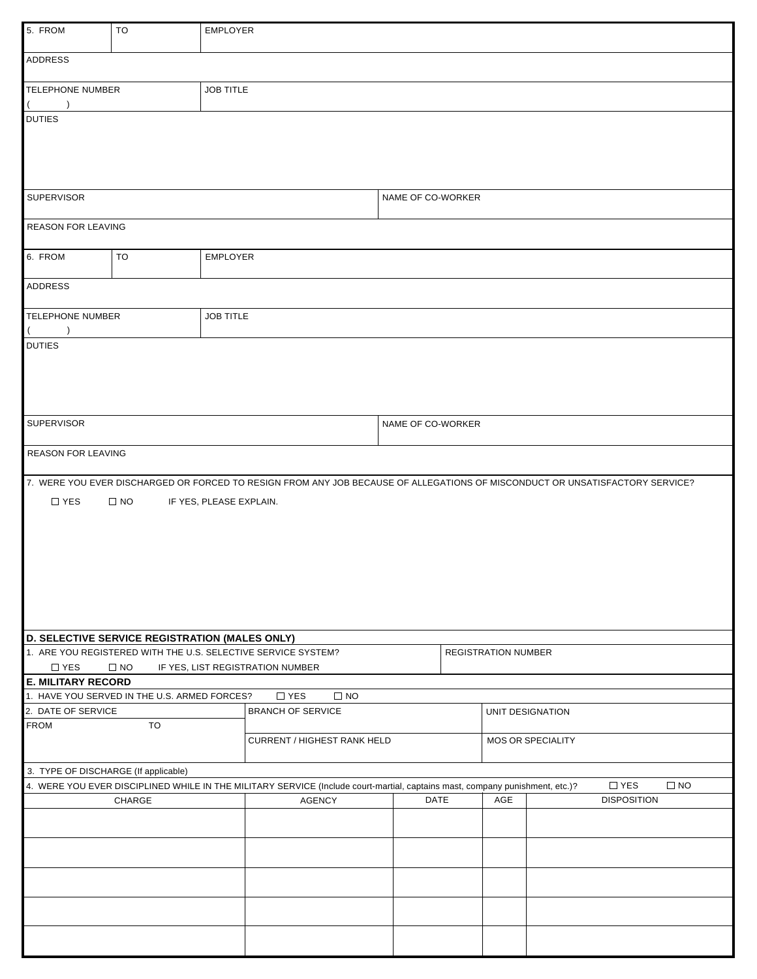| 5. FROM                                                                                                                      | TO                                                                                                                                                      | <b>EMPLOYER</b>  |                                                               |                   |  |                            |                    |  |  |  |  |
|------------------------------------------------------------------------------------------------------------------------------|---------------------------------------------------------------------------------------------------------------------------------------------------------|------------------|---------------------------------------------------------------|-------------------|--|----------------------------|--------------------|--|--|--|--|
| <b>ADDRESS</b>                                                                                                               |                                                                                                                                                         |                  |                                                               |                   |  |                            |                    |  |  |  |  |
| <b>TELEPHONE NUMBER</b><br>$\lambda$                                                                                         |                                                                                                                                                         | <b>JOB TITLE</b> |                                                               |                   |  |                            |                    |  |  |  |  |
| <b>DUTIES</b>                                                                                                                |                                                                                                                                                         |                  |                                                               |                   |  |                            |                    |  |  |  |  |
|                                                                                                                              |                                                                                                                                                         |                  |                                                               |                   |  |                            |                    |  |  |  |  |
|                                                                                                                              |                                                                                                                                                         |                  |                                                               |                   |  |                            |                    |  |  |  |  |
| <b>SUPERVISOR</b>                                                                                                            |                                                                                                                                                         |                  |                                                               | NAME OF CO-WORKER |  |                            |                    |  |  |  |  |
| REASON FOR LEAVING                                                                                                           |                                                                                                                                                         |                  |                                                               |                   |  |                            |                    |  |  |  |  |
| 6. FROM                                                                                                                      | TO                                                                                                                                                      | <b>EMPLOYER</b>  |                                                               |                   |  |                            |                    |  |  |  |  |
| <b>ADDRESS</b>                                                                                                               |                                                                                                                                                         |                  |                                                               |                   |  |                            |                    |  |  |  |  |
| <b>TELEPHONE NUMBER</b>                                                                                                      |                                                                                                                                                         | <b>JOB TITLE</b> |                                                               |                   |  |                            |                    |  |  |  |  |
| <b>DUTIES</b>                                                                                                                |                                                                                                                                                         |                  |                                                               |                   |  |                            |                    |  |  |  |  |
|                                                                                                                              |                                                                                                                                                         |                  |                                                               |                   |  |                            |                    |  |  |  |  |
|                                                                                                                              |                                                                                                                                                         |                  |                                                               |                   |  |                            |                    |  |  |  |  |
|                                                                                                                              |                                                                                                                                                         |                  |                                                               |                   |  |                            |                    |  |  |  |  |
| <b>SUPERVISOR</b><br>NAME OF CO-WORKER                                                                                       |                                                                                                                                                         |                  |                                                               |                   |  |                            |                    |  |  |  |  |
| <b>REASON FOR LEAVING</b>                                                                                                    |                                                                                                                                                         |                  |                                                               |                   |  |                            |                    |  |  |  |  |
| 7. WERE YOU EVER DISCHARGED OR FORCED TO RESIGN FROM ANY JOB BECAUSE OF ALLEGATIONS OF MISCONDUCT OR UNSATISFACTORY SERVICE? |                                                                                                                                                         |                  |                                                               |                   |  |                            |                    |  |  |  |  |
| $\Box$ YES<br>$\Box$ NO<br>IF YES, PLEASE EXPLAIN.                                                                           |                                                                                                                                                         |                  |                                                               |                   |  |                            |                    |  |  |  |  |
|                                                                                                                              |                                                                                                                                                         |                  |                                                               |                   |  |                            |                    |  |  |  |  |
|                                                                                                                              |                                                                                                                                                         |                  |                                                               |                   |  |                            |                    |  |  |  |  |
|                                                                                                                              |                                                                                                                                                         |                  |                                                               |                   |  |                            |                    |  |  |  |  |
|                                                                                                                              |                                                                                                                                                         |                  |                                                               |                   |  |                            |                    |  |  |  |  |
|                                                                                                                              |                                                                                                                                                         |                  |                                                               |                   |  |                            |                    |  |  |  |  |
|                                                                                                                              |                                                                                                                                                         |                  |                                                               |                   |  |                            |                    |  |  |  |  |
|                                                                                                                              | D. SELECTIVE SERVICE REGISTRATION (MALES ONLY)                                                                                                          |                  | 1. ARE YOU REGISTERED WITH THE U.S. SELECTIVE SERVICE SYSTEM? |                   |  | <b>REGISTRATION NUMBER</b> |                    |  |  |  |  |
| $\Box$ YES                                                                                                                   | $\square$ NO                                                                                                                                            |                  | IF YES, LIST REGISTRATION NUMBER                              |                   |  |                            |                    |  |  |  |  |
| <b>E. MILITARY RECORD</b>                                                                                                    |                                                                                                                                                         |                  | $\Box$ YES<br>$\square$ NO                                    |                   |  |                            |                    |  |  |  |  |
| 1. HAVE YOU SERVED IN THE U.S. ARMED FORCES?<br><b>BRANCH OF SERVICE</b><br>2. DATE OF SERVICE<br>UNIT DESIGNATION           |                                                                                                                                                         |                  |                                                               |                   |  |                            |                    |  |  |  |  |
| <b>FROM</b><br>TO                                                                                                            |                                                                                                                                                         |                  |                                                               |                   |  |                            |                    |  |  |  |  |
|                                                                                                                              |                                                                                                                                                         |                  | <b>CURRENT / HIGHEST RANK HELD</b>                            |                   |  |                            | MOS OR SPECIALITY  |  |  |  |  |
| 3. TYPE OF DISCHARGE (If applicable)                                                                                         |                                                                                                                                                         |                  |                                                               |                   |  |                            |                    |  |  |  |  |
|                                                                                                                              | $\Box$ YES<br>$\Box$ NO<br>4. WERE YOU EVER DISCIPLINED WHILE IN THE MILITARY SERVICE (Include court-martial, captains mast, company punishment, etc.)? |                  |                                                               |                   |  |                            |                    |  |  |  |  |
|                                                                                                                              | CHARGE                                                                                                                                                  |                  | <b>AGENCY</b>                                                 | DATE              |  | AGE                        | <b>DISPOSITION</b> |  |  |  |  |
|                                                                                                                              |                                                                                                                                                         |                  |                                                               |                   |  |                            |                    |  |  |  |  |
|                                                                                                                              |                                                                                                                                                         |                  |                                                               |                   |  |                            |                    |  |  |  |  |
|                                                                                                                              |                                                                                                                                                         |                  |                                                               |                   |  |                            |                    |  |  |  |  |
|                                                                                                                              |                                                                                                                                                         |                  |                                                               |                   |  |                            |                    |  |  |  |  |
|                                                                                                                              |                                                                                                                                                         |                  |                                                               |                   |  |                            |                    |  |  |  |  |
|                                                                                                                              |                                                                                                                                                         |                  |                                                               |                   |  |                            |                    |  |  |  |  |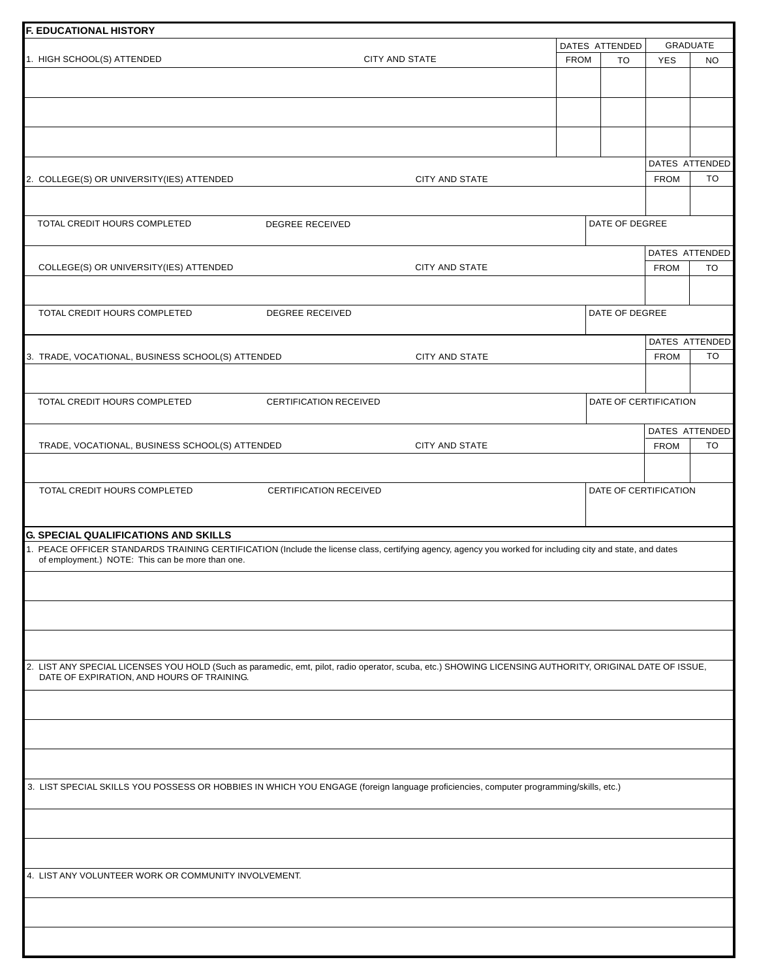| <b>F. EDUCATIONAL HISTORY</b>                                                                                                                                                                                                                                 |                               |                       |             |                       |             |                 |
|---------------------------------------------------------------------------------------------------------------------------------------------------------------------------------------------------------------------------------------------------------------|-------------------------------|-----------------------|-------------|-----------------------|-------------|-----------------|
|                                                                                                                                                                                                                                                               |                               |                       |             | DATES ATTENDED        |             | <b>GRADUATE</b> |
| 1. HIGH SCHOOL(S) ATTENDED                                                                                                                                                                                                                                    |                               | <b>CITY AND STATE</b> | <b>FROM</b> | <b>TO</b>             | <b>YES</b>  | <b>NO</b>       |
|                                                                                                                                                                                                                                                               |                               |                       |             |                       |             |                 |
|                                                                                                                                                                                                                                                               |                               |                       |             |                       |             |                 |
|                                                                                                                                                                                                                                                               |                               |                       |             |                       |             |                 |
|                                                                                                                                                                                                                                                               |                               |                       |             |                       |             | DATES ATTENDED  |
| 2. COLLEGE(S) OR UNIVERSITY(IES) ATTENDED                                                                                                                                                                                                                     |                               | <b>CITY AND STATE</b> |             |                       | <b>FROM</b> | TO              |
| TOTAL CREDIT HOURS COMPLETED                                                                                                                                                                                                                                  | <b>DEGREE RECEIVED</b>        |                       |             | DATE OF DEGREE        |             |                 |
|                                                                                                                                                                                                                                                               |                               |                       |             |                       |             | DATES ATTENDED  |
| COLLEGE(S) OR UNIVERSITY(IES) ATTENDED                                                                                                                                                                                                                        |                               | CITY AND STATE        |             |                       | <b>FROM</b> | TO              |
| TOTAL CREDIT HOURS COMPLETED                                                                                                                                                                                                                                  | <b>DEGREE RECEIVED</b>        |                       |             | DATE OF DEGREE        |             |                 |
|                                                                                                                                                                                                                                                               |                               |                       |             |                       |             | DATES ATTENDED  |
| 3. TRADE, VOCATIONAL, BUSINESS SCHOOL(S) ATTENDED                                                                                                                                                                                                             |                               | <b>CITY AND STATE</b> |             |                       | <b>FROM</b> | <b>TO</b>       |
| TOTAL CREDIT HOURS COMPLETED                                                                                                                                                                                                                                  | <b>CERTIFICATION RECEIVED</b> |                       |             | DATE OF CERTIFICATION |             |                 |
|                                                                                                                                                                                                                                                               |                               |                       |             |                       |             | DATES ATTENDED  |
| TRADE, VOCATIONAL, BUSINESS SCHOOL(S) ATTENDED                                                                                                                                                                                                                |                               | CITY AND STATE        |             |                       | <b>FROM</b> | TO              |
|                                                                                                                                                                                                                                                               |                               |                       |             |                       |             |                 |
| TOTAL CREDIT HOURS COMPLETED                                                                                                                                                                                                                                  | <b>CERTIFICATION RECEIVED</b> |                       |             | DATE OF CERTIFICATION |             |                 |
| <b>G. SPECIAL QUALIFICATIONS AND SKILLS</b><br>1. PEACE OFFICER STANDARDS TRAINING CERTIFICATION (Include the license class, certifying agency, agency you worked for including city and state, and dates<br>of employment.) NOTE: This can be more than one. |                               |                       |             |                       |             |                 |
| 2. LIST ANY SPECIAL LICENSES YOU HOLD (Such as paramedic, emt, pilot, radio operator, scuba, etc.) SHOWING LICENSING AUTHORITY, ORIGINAL DATE OF ISSUE,                                                                                                       |                               |                       |             |                       |             |                 |
| DATE OF EXPIRATION, AND HOURS OF TRAINING.                                                                                                                                                                                                                    |                               |                       |             |                       |             |                 |
|                                                                                                                                                                                                                                                               |                               |                       |             |                       |             |                 |
|                                                                                                                                                                                                                                                               |                               |                       |             |                       |             |                 |
| 3. LIST SPECIAL SKILLS YOU POSSESS OR HOBBIES IN WHICH YOU ENGAGE (foreign language proficiencies, computer programming/skills, etc.)                                                                                                                         |                               |                       |             |                       |             |                 |
|                                                                                                                                                                                                                                                               |                               |                       |             |                       |             |                 |
| 4. LIST ANY VOLUNTEER WORK OR COMMUNITY INVOLVEMENT.                                                                                                                                                                                                          |                               |                       |             |                       |             |                 |
|                                                                                                                                                                                                                                                               |                               |                       |             |                       |             |                 |
|                                                                                                                                                                                                                                                               |                               |                       |             |                       |             |                 |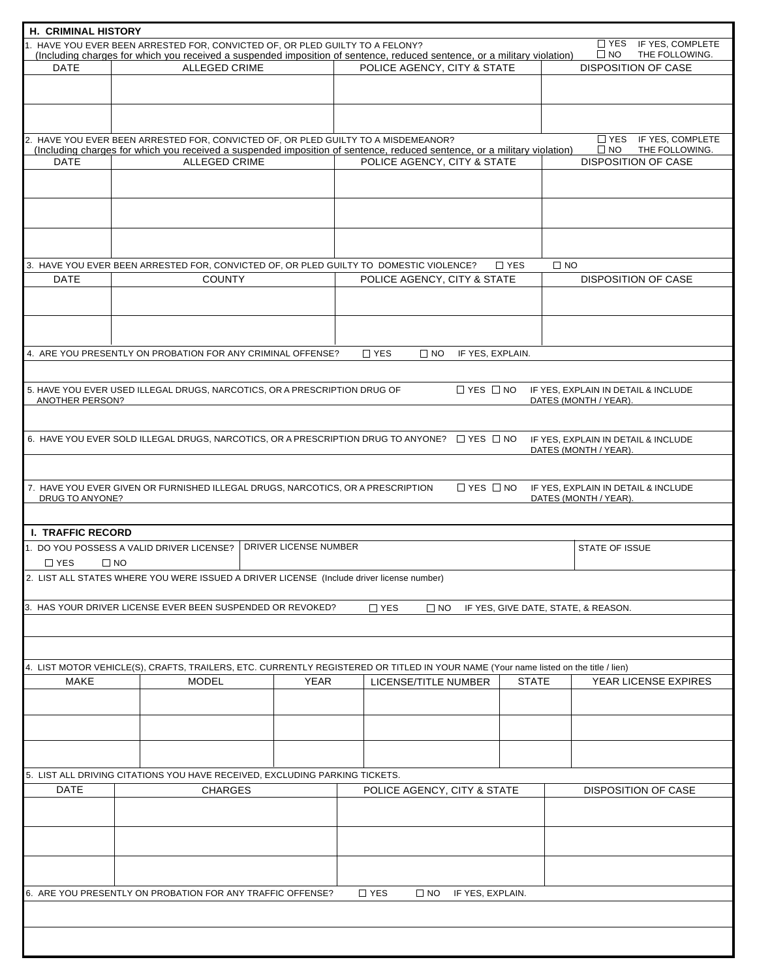| H. CRIMINAL HISTORY      |                                                                                           |                       |                                                                                                                                                         |                                     |                                                              |  |  |
|--------------------------|-------------------------------------------------------------------------------------------|-----------------------|---------------------------------------------------------------------------------------------------------------------------------------------------------|-------------------------------------|--------------------------------------------------------------|--|--|
|                          | 1. HAVE YOU EVER BEEN ARRESTED FOR, CONVICTED OF, OR PLED GUILTY TO A FELONY?             |                       |                                                                                                                                                         |                                     | T YES IF YES, COMPLETE                                       |  |  |
| <b>DATE</b>              | <b>ALLEGED CRIME</b>                                                                      |                       | (Including charges for which you received a suspended imposition of sentence, reduced sentence, or a military violation)<br>POLICE AGENCY, CITY & STATE |                                     | $\square$ NO<br>THE FOLLOWING.<br><b>DISPOSITION OF CASE</b> |  |  |
|                          |                                                                                           |                       |                                                                                                                                                         |                                     |                                                              |  |  |
|                          |                                                                                           |                       |                                                                                                                                                         |                                     |                                                              |  |  |
|                          |                                                                                           |                       |                                                                                                                                                         |                                     |                                                              |  |  |
|                          |                                                                                           |                       |                                                                                                                                                         |                                     |                                                              |  |  |
|                          |                                                                                           |                       |                                                                                                                                                         |                                     | TYES IF YES, COMPLETE                                        |  |  |
|                          | 2. HAVE YOU EVER BEEN ARRESTED FOR, CONVICTED OF, OR PLED GUILTY TO A MISDEMEANOR?        |                       | (Including charges for which you received a suspended imposition of sentence, reduced sentence, or a military violation)                                |                                     | THE FOLLOWING.<br>$\square$ NO                               |  |  |
| <b>DATE</b>              | <b>ALLEGED CRIME</b>                                                                      |                       | POLICE AGENCY, CITY & STATE                                                                                                                             |                                     | <b>DISPOSITION OF CASE</b>                                   |  |  |
|                          |                                                                                           |                       |                                                                                                                                                         |                                     |                                                              |  |  |
|                          |                                                                                           |                       |                                                                                                                                                         |                                     |                                                              |  |  |
|                          |                                                                                           |                       |                                                                                                                                                         |                                     |                                                              |  |  |
|                          |                                                                                           |                       |                                                                                                                                                         |                                     |                                                              |  |  |
|                          |                                                                                           |                       |                                                                                                                                                         |                                     |                                                              |  |  |
|                          |                                                                                           |                       |                                                                                                                                                         |                                     |                                                              |  |  |
|                          |                                                                                           |                       |                                                                                                                                                         | $\Box$ NO                           |                                                              |  |  |
| <b>DATE</b>              | <b>COUNTY</b>                                                                             |                       | 3. HAVE YOU EVER BEEN ARRESTED FOR, CONVICTED OF, OR PLED GUILTY TO DOMESTIC VIOLENCE?<br>POLICE AGENCY, CITY & STATE                                   | $\Box$ YES                          | <b>DISPOSITION OF CASE</b>                                   |  |  |
|                          |                                                                                           |                       |                                                                                                                                                         |                                     |                                                              |  |  |
|                          |                                                                                           |                       |                                                                                                                                                         |                                     |                                                              |  |  |
|                          |                                                                                           |                       |                                                                                                                                                         |                                     |                                                              |  |  |
|                          |                                                                                           |                       |                                                                                                                                                         |                                     |                                                              |  |  |
|                          |                                                                                           |                       |                                                                                                                                                         |                                     |                                                              |  |  |
|                          | 4. ARE YOU PRESENTLY ON PROBATION FOR ANY CRIMINAL OFFENSE?                               |                       | $\Box$ YES<br>$\square$ NO<br>IF YES. EXPLAIN.                                                                                                          |                                     |                                                              |  |  |
|                          |                                                                                           |                       |                                                                                                                                                         |                                     |                                                              |  |  |
|                          | 5. HAVE YOU EVER USED ILLEGAL DRUGS, NARCOTICS, OR A PRESCRIPTION DRUG OF                 |                       | $\Box$ YES $\Box$ NO                                                                                                                                    |                                     | IF YES, EXPLAIN IN DETAIL & INCLUDE                          |  |  |
| ANOTHER PERSON?          |                                                                                           |                       |                                                                                                                                                         |                                     | DATES (MONTH / YEAR).                                        |  |  |
|                          |                                                                                           |                       |                                                                                                                                                         |                                     |                                                              |  |  |
|                          |                                                                                           |                       |                                                                                                                                                         |                                     |                                                              |  |  |
|                          |                                                                                           |                       | 6. HAVE YOU EVER SOLD ILLEGAL DRUGS, NARCOTICS, OR A PRESCRIPTION DRUG TO ANYONE? □ YES □ NO                                                            |                                     | IF YES, EXPLAIN IN DETAIL & INCLUDE                          |  |  |
|                          |                                                                                           |                       |                                                                                                                                                         |                                     | DATES (MONTH / YEAR).                                        |  |  |
|                          |                                                                                           |                       |                                                                                                                                                         |                                     |                                                              |  |  |
|                          | 7. HAVE YOU EVER GIVEN OR FURNISHED ILLEGAL DRUGS, NARCOTICS, OR A PRESCRIPTION           |                       | $\Box$ YES $\Box$ NO                                                                                                                                    |                                     | IF YES, EXPLAIN IN DETAIL & INCLUDE                          |  |  |
| DRUG TO ANYONE?          |                                                                                           |                       |                                                                                                                                                         |                                     | DATES (MONTH / YEAR).                                        |  |  |
|                          |                                                                                           |                       |                                                                                                                                                         |                                     |                                                              |  |  |
| <b>I. TRAFFIC RECORD</b> |                                                                                           |                       |                                                                                                                                                         |                                     |                                                              |  |  |
|                          |                                                                                           | DRIVER LICENSE NUMBER |                                                                                                                                                         |                                     |                                                              |  |  |
|                          | 1. DO YOU POSSESS A VALID DRIVER LICENSE?                                                 |                       |                                                                                                                                                         |                                     | <b>STATE OF ISSUE</b>                                        |  |  |
| $\Box$ YES               | $\square$ NO                                                                              |                       |                                                                                                                                                         |                                     |                                                              |  |  |
|                          | 2. LIST ALL STATES WHERE YOU WERE ISSUED A DRIVER LICENSE (Include driver license number) |                       |                                                                                                                                                         |                                     |                                                              |  |  |
|                          |                                                                                           |                       |                                                                                                                                                         |                                     |                                                              |  |  |
|                          | 3. HAS YOUR DRIVER LICENSE EVER BEEN SUSPENDED OR REVOKED?                                |                       | $\Box$ YES<br>$\square$ NO                                                                                                                              | IF YES, GIVE DATE, STATE, & REASON. |                                                              |  |  |
|                          |                                                                                           |                       |                                                                                                                                                         |                                     |                                                              |  |  |
|                          |                                                                                           |                       |                                                                                                                                                         |                                     |                                                              |  |  |
|                          |                                                                                           |                       |                                                                                                                                                         |                                     |                                                              |  |  |
|                          |                                                                                           |                       | 4. LIST MOTOR VEHICLE(S), CRAFTS, TRAILERS, ETC. CURRENTLY REGISTERED OR TITLED IN YOUR NAME (Your name listed on the title / lien)                     |                                     |                                                              |  |  |
| MAKE                     | <b>MODEL</b>                                                                              | YEAR                  | LICENSE/TITLE NUMBER                                                                                                                                    | YEAR LICENSE EXPIRES                |                                                              |  |  |
|                          |                                                                                           |                       |                                                                                                                                                         |                                     |                                                              |  |  |
|                          |                                                                                           |                       |                                                                                                                                                         |                                     |                                                              |  |  |
|                          |                                                                                           |                       |                                                                                                                                                         |                                     |                                                              |  |  |
|                          |                                                                                           |                       |                                                                                                                                                         |                                     |                                                              |  |  |
|                          |                                                                                           |                       |                                                                                                                                                         |                                     |                                                              |  |  |
|                          |                                                                                           |                       |                                                                                                                                                         |                                     |                                                              |  |  |
|                          | 5. LIST ALL DRIVING CITATIONS YOU HAVE RECEIVED, EXCLUDING PARKING TICKETS.               |                       |                                                                                                                                                         |                                     |                                                              |  |  |
| <b>DATE</b>              | <b>CHARGES</b>                                                                            |                       | POLICE AGENCY, CITY & STATE                                                                                                                             |                                     | DISPOSITION OF CASE                                          |  |  |
|                          |                                                                                           |                       |                                                                                                                                                         |                                     |                                                              |  |  |
|                          |                                                                                           |                       |                                                                                                                                                         |                                     |                                                              |  |  |
|                          |                                                                                           |                       |                                                                                                                                                         |                                     |                                                              |  |  |
|                          |                                                                                           |                       |                                                                                                                                                         |                                     |                                                              |  |  |
|                          |                                                                                           |                       |                                                                                                                                                         |                                     |                                                              |  |  |
|                          |                                                                                           |                       |                                                                                                                                                         |                                     |                                                              |  |  |
|                          | 6. ARE YOU PRESENTLY ON PROBATION FOR ANY TRAFFIC OFFENSE?                                |                       | $\Box$ YES<br>$\Box$ NO<br>IF YES, EXPLAIN.                                                                                                             |                                     |                                                              |  |  |
|                          |                                                                                           |                       |                                                                                                                                                         |                                     |                                                              |  |  |
|                          |                                                                                           |                       |                                                                                                                                                         |                                     |                                                              |  |  |
|                          |                                                                                           |                       |                                                                                                                                                         |                                     |                                                              |  |  |
|                          |                                                                                           |                       |                                                                                                                                                         |                                     |                                                              |  |  |
|                          |                                                                                           |                       |                                                                                                                                                         |                                     |                                                              |  |  |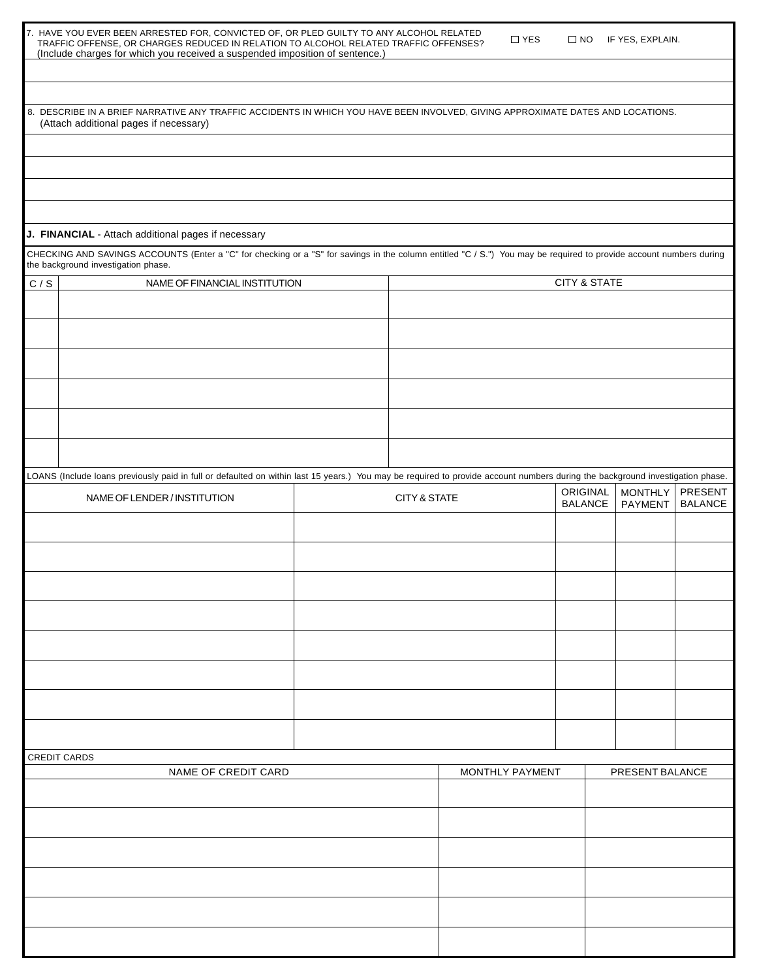| TRAFFIC OFFENSE. OR CHARGES REDUCED IN RELATION TO ALCOHOL RELATED TRAFFIC OFFENSES? |  |
|--------------------------------------------------------------------------------------|--|
| (Include charges for which you received a suspended imposition of sentence.)         |  |

8. DESCRIBE IN A BRIEF NARRATIVE ANY TRAFFIC ACCIDENTS IN WHICH YOU HAVE BEEN INVOLVED, GIVING APPROXIMATE DATES AND LOCATIONS. (Attach additional pages if necessary)

#### **J. FINANCIAL** - Attach additional pages if necessary

CHECKING AND SAVINGS ACCOUNTS (Enter a "C" for checking or a "S" for savings in the column entitled "C / S.") You may be required to provide account numbers during the background investigation phase.

|                     | $\tilde{\phantom{a}}$                                                                                                                                                         |  |  |                         |                 |                            |                           |                           |
|---------------------|-------------------------------------------------------------------------------------------------------------------------------------------------------------------------------|--|--|-------------------------|-----------------|----------------------------|---------------------------|---------------------------|
| C / S               | NAME OF FINANCIAL INSTITUTION                                                                                                                                                 |  |  |                         |                 | <b>CITY &amp; STATE</b>    |                           |                           |
|                     |                                                                                                                                                                               |  |  |                         |                 |                            |                           |                           |
|                     |                                                                                                                                                                               |  |  |                         |                 |                            |                           |                           |
|                     |                                                                                                                                                                               |  |  |                         |                 |                            |                           |                           |
|                     |                                                                                                                                                                               |  |  |                         |                 |                            |                           |                           |
|                     |                                                                                                                                                                               |  |  |                         |                 |                            |                           |                           |
|                     |                                                                                                                                                                               |  |  |                         |                 |                            |                           |                           |
|                     | LOANS (Include loans previously paid in full or defaulted on within last 15 years.) You may be required to provide account numbers during the background investigation phase. |  |  |                         |                 |                            |                           |                           |
|                     | NAME OF LENDER / INSTITUTION                                                                                                                                                  |  |  | <b>CITY &amp; STATE</b> |                 | ORIGINAL<br><b>BALANCE</b> | <b>MONTHLY</b><br>PAYMENT | PRESENT<br><b>BALANCE</b> |
|                     |                                                                                                                                                                               |  |  |                         |                 |                            |                           |                           |
|                     |                                                                                                                                                                               |  |  |                         |                 |                            |                           |                           |
|                     |                                                                                                                                                                               |  |  |                         |                 |                            |                           |                           |
|                     |                                                                                                                                                                               |  |  |                         |                 |                            |                           |                           |
|                     |                                                                                                                                                                               |  |  |                         |                 |                            |                           |                           |
|                     |                                                                                                                                                                               |  |  |                         |                 |                            |                           |                           |
|                     |                                                                                                                                                                               |  |  |                         |                 |                            |                           |                           |
|                     |                                                                                                                                                                               |  |  |                         |                 |                            |                           |                           |
|                     | CREDIT CARDS                                                                                                                                                                  |  |  |                         |                 |                            |                           |                           |
| NAME OF CREDIT CARD |                                                                                                                                                                               |  |  |                         | MONTHLY PAYMENT |                            | PRESENT BALANCE           |                           |
|                     |                                                                                                                                                                               |  |  |                         |                 |                            |                           |                           |
|                     |                                                                                                                                                                               |  |  |                         |                 |                            |                           |                           |
|                     |                                                                                                                                                                               |  |  |                         |                 |                            |                           |                           |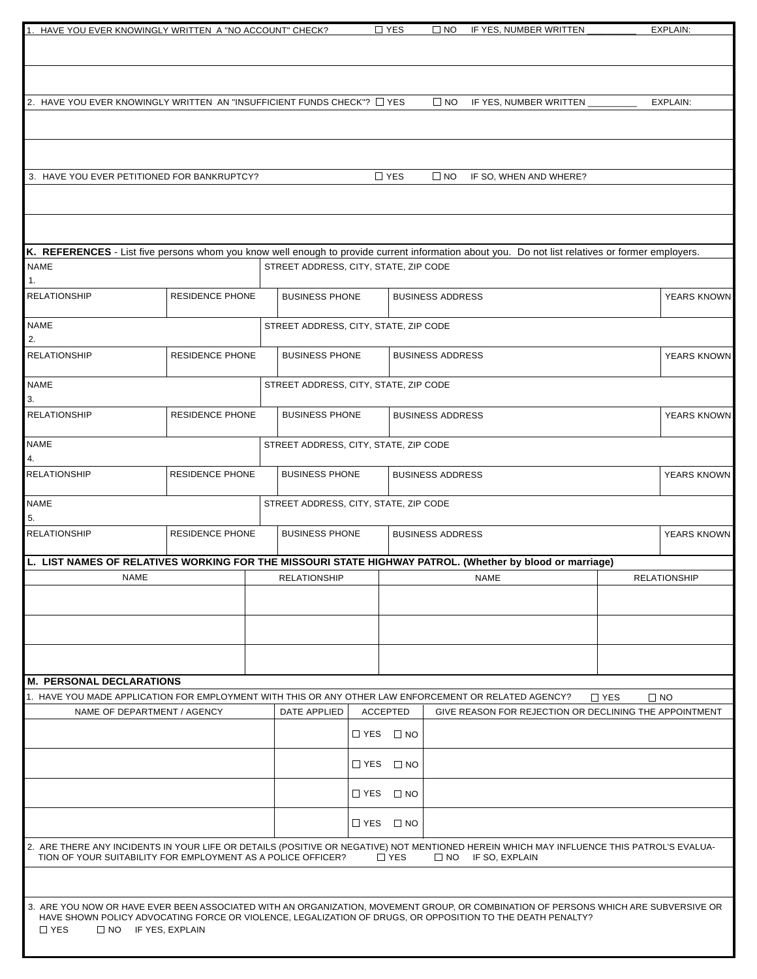| 1. HAVE YOU EVER KNOWINGLY WRITTEN A "NO ACCOUNT" CHECK?                                                                                         |                        |                                       |                      | $\Box$ YES   | $\square$ NO            | IF YES, NUMBER WRITTEN                                                                                     |            | EXPLAIN:            |
|--------------------------------------------------------------------------------------------------------------------------------------------------|------------------------|---------------------------------------|----------------------|--------------|-------------------------|------------------------------------------------------------------------------------------------------------|------------|---------------------|
|                                                                                                                                                  |                        |                                       |                      |              |                         |                                                                                                            |            |                     |
|                                                                                                                                                  |                        |                                       |                      |              |                         |                                                                                                            |            |                     |
|                                                                                                                                                  |                        |                                       |                      |              |                         |                                                                                                            |            |                     |
| 2. HAVE YOU EVER KNOWINGLY WRITTEN AN "INSUFFICIENT FUNDS CHECK"? [ YES                                                                          |                        |                                       |                      |              | $\Box$ NO               | IF YES, NUMBER WRITTEN                                                                                     |            | EXPLAIN:            |
|                                                                                                                                                  |                        |                                       |                      |              |                         |                                                                                                            |            |                     |
|                                                                                                                                                  |                        |                                       |                      |              |                         |                                                                                                            |            |                     |
| 3. HAVE YOU EVER PETITIONED FOR BANKRUPTCY?                                                                                                      |                        |                                       |                      | $\Box$ YES   | $\Box$ NO               | IF SO, WHEN AND WHERE?                                                                                     |            |                     |
|                                                                                                                                                  |                        |                                       |                      |              |                         |                                                                                                            |            |                     |
|                                                                                                                                                  |                        |                                       |                      |              |                         |                                                                                                            |            |                     |
|                                                                                                                                                  |                        |                                       |                      |              |                         |                                                                                                            |            |                     |
| K. REFERENCES - List five persons whom you know well enough to provide current information about you. Do not list relatives or former employers. |                        |                                       |                      |              |                         |                                                                                                            |            |                     |
| <b>NAME</b><br>1.                                                                                                                                |                        | STREET ADDRESS, CITY, STATE, ZIP CODE |                      |              |                         |                                                                                                            |            |                     |
| <b>RELATIONSHIP</b>                                                                                                                              | <b>RESIDENCE PHONE</b> | <b>BUSINESS PHONE</b>                 |                      |              | <b>BUSINESS ADDRESS</b> |                                                                                                            |            | YEARS KNOWN         |
| <b>NAME</b>                                                                                                                                      |                        | STREET ADDRESS, CITY, STATE, ZIP CODE |                      |              |                         |                                                                                                            |            |                     |
| 2.                                                                                                                                               |                        |                                       |                      |              |                         |                                                                                                            |            |                     |
| <b>RELATIONSHIP</b>                                                                                                                              | <b>RESIDENCE PHONE</b> | <b>BUSINESS PHONE</b>                 |                      |              | <b>BUSINESS ADDRESS</b> |                                                                                                            |            | YEARS KNOWN         |
| <b>NAME</b>                                                                                                                                      |                        | STREET ADDRESS, CITY, STATE, ZIP CODE |                      |              |                         |                                                                                                            |            |                     |
| 3.                                                                                                                                               |                        |                                       |                      |              |                         |                                                                                                            |            |                     |
| <b>RELATIONSHIP</b>                                                                                                                              | <b>RESIDENCE PHONE</b> | <b>BUSINESS PHONE</b>                 |                      |              | <b>BUSINESS ADDRESS</b> |                                                                                                            |            | YEARS KNOWN         |
| <b>NAME</b>                                                                                                                                      |                        | STREET ADDRESS, CITY, STATE, ZIP CODE |                      |              |                         |                                                                                                            |            |                     |
| 4.<br><b>RELATIONSHIP</b>                                                                                                                        | <b>RESIDENCE PHONE</b> | <b>BUSINESS PHONE</b>                 |                      |              | <b>BUSINESS ADDRESS</b> |                                                                                                            |            | YEARS KNOWN         |
|                                                                                                                                                  |                        |                                       |                      |              |                         |                                                                                                            |            |                     |
| <b>NAME</b><br>5.                                                                                                                                |                        | STREET ADDRESS, CITY, STATE, ZIP CODE |                      |              |                         |                                                                                                            |            |                     |
| <b>RELATIONSHIP</b>                                                                                                                              | <b>RESIDENCE PHONE</b> | <b>BUSINESS PHONE</b>                 |                      |              | <b>BUSINESS ADDRESS</b> |                                                                                                            |            | YEARS KNOWN         |
|                                                                                                                                                  |                        |                                       |                      |              |                         |                                                                                                            |            |                     |
| L. LIST NAMES OF RELATIVES WORKING FOR THE MISSOURI STATE HIGHWAY PATROL. (Whether by blood or marriage)<br>NAME                                 |                        | <b>RELATIONSHIP</b>                   |                      |              |                         | <b>NAME</b>                                                                                                |            | <b>RELATIONSHIP</b> |
|                                                                                                                                                  |                        |                                       |                      |              |                         |                                                                                                            |            |                     |
|                                                                                                                                                  |                        |                                       |                      |              |                         |                                                                                                            |            |                     |
|                                                                                                                                                  |                        |                                       |                      |              |                         |                                                                                                            |            |                     |
|                                                                                                                                                  |                        |                                       |                      |              |                         |                                                                                                            |            |                     |
| M. PERSONAL DECLARATIONS                                                                                                                         |                        |                                       |                      |              |                         |                                                                                                            |            |                     |
| 1. HAVE YOU MADE APPLICATION FOR EMPLOYMENT WITH THIS OR ANY OTHER LAW ENFORCEMENT OR RELATED AGENCY?                                            |                        |                                       |                      |              |                         |                                                                                                            | $\Box$ YES | $\square$ NO        |
| NAME OF DEPARTMENT / AGENCY                                                                                                                      |                        | DATE APPLIED                          | <b>ACCEPTED</b>      |              |                         | GIVE REASON FOR REJECTION OR DECLINING THE APPOINTMENT                                                     |            |                     |
|                                                                                                                                                  |                        |                                       | $\Box$ YES           | $\square$ NO |                         |                                                                                                            |            |                     |
|                                                                                                                                                  |                        |                                       | $\Box$ YES $\Box$ NO |              |                         |                                                                                                            |            |                     |
|                                                                                                                                                  |                        |                                       |                      |              |                         |                                                                                                            |            |                     |
|                                                                                                                                                  |                        |                                       | $\Box$ YES           | $\square$ NO |                         |                                                                                                            |            |                     |
|                                                                                                                                                  |                        |                                       | $\square$ YES        | $\square$ NO |                         |                                                                                                            |            |                     |
| 2. ARE THERE ANY INCIDENTS IN YOUR LIFE OR DETAILS (POSITIVE OR NEGATIVE) NOT MENTIONED HEREIN WHICH MAY INFLUENCE THIS PATROL'S EVALUA-         |                        |                                       |                      |              |                         |                                                                                                            |            |                     |
| TION OF YOUR SUITABILITY FOR EMPLOYMENT AS A POLICE OFFICER?                                                                                     |                        |                                       |                      | $\Box$ YES   |                         | NO IF SO, EXPLAIN                                                                                          |            |                     |
|                                                                                                                                                  |                        |                                       |                      |              |                         |                                                                                                            |            |                     |
| 3. ARE YOU NOW OR HAVE EVER BEEN ASSOCIATED WITH AN ORGANIZATION, MOVEMENT GROUP, OR COMBINATION OF PERSONS WHICH ARE SUBVERSIVE OR              |                        |                                       |                      |              |                         |                                                                                                            |            |                     |
| $\Box$ YES<br>$\Box$ NO IF YES, EXPLAIN                                                                                                          |                        |                                       |                      |              |                         | HAVE SHOWN POLICY ADVOCATING FORCE OR VIOLENCE, LEGALIZATION OF DRUGS, OR OPPOSITION TO THE DEATH PENALTY? |            |                     |
|                                                                                                                                                  |                        |                                       |                      |              |                         |                                                                                                            |            |                     |